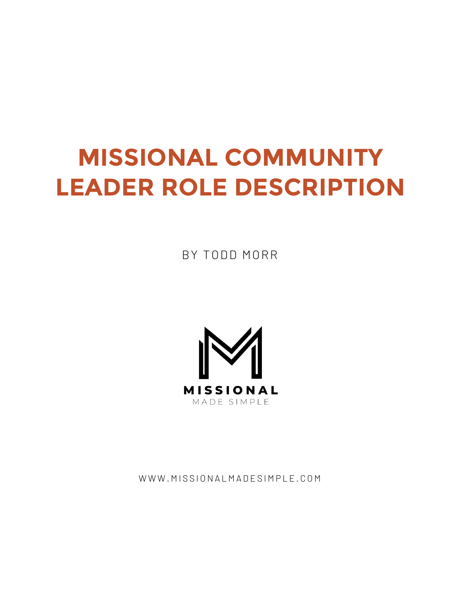# **MISSIONAL COMMUNITY LEADER ROLE DESCRIPTION**

BY TODD MORR



WWW.MISSIONALMADESIMPLE.COM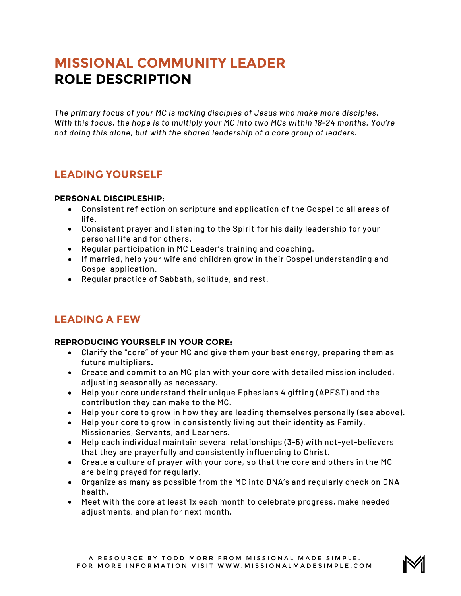# **MISSIONAL COMMUNITY LEADER ROLE DESCRIPTION**

*The primary focus of your MC is making disciples of Jesus who make more disciples. With this focus, the hope is to multiply your MC into two MCs within 18-24 months. You're not doing this alone, but with the shared leadership of a core group of leaders.*

## **LEADING YOURSELF**

#### **PERSONAL DISCIPLESHIP:**

- Consistent reflection on scripture and application of the Gospel to all areas of life.
- Consistent prayer and listening to the Spirit for his daily leadership for your personal life and for others.
- Regular participation in MC Leader's training and coaching.
- If married, help your wife and children grow in their Gospel understanding and Gospel application.
- Regular practice of Sabbath, solitude, and rest.

## **LEADING A FEW**

#### **REPRODUCING YOURSELF IN YOUR CORE:**

- Clarify the "core" of your MC and give them your best energy, preparing them as future multipliers.
- Create and commit to an MC plan with your core with detailed mission included, adjusting seasonally as necessary.
- Help your core understand their unique Ephesians 4 gifting (APEST) and the contribution they can make to the MC.
- Help your core to grow in how they are leading themselves personally (see above).
- Help your core to grow in consistently living out their identity as Family, Missionaries, Servants, and Learners.
- Help each individual maintain several relationships (3-5) with not-yet-believers that they are prayerfully and consistently influencing to Christ.
- Create a culture of prayer with your core, so that the core and others in the MC are being prayed for regularly.
- Organize as many as possible from the MC into DNA's and regularly check on DNA health.
- Meet with the core at least 1x each month to celebrate progress, make needed adjustments, and plan for next month.